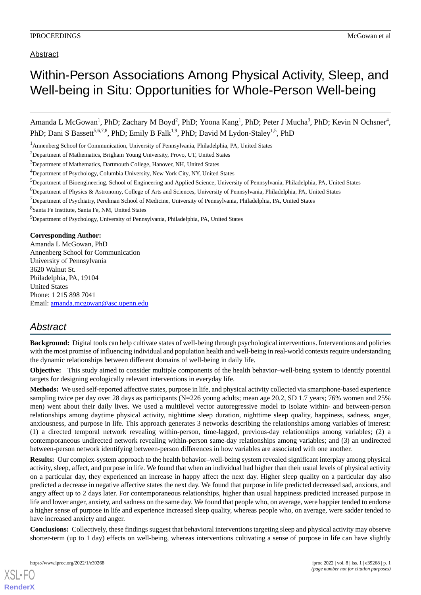Abstract

## Within-Person Associations Among Physical Activity, Sleep, and Well-being in Situ: Opportunities for Whole-Person Well-being

Amanda L McGowan<sup>1</sup>, PhD; Zachary M Boyd<sup>2</sup>, PhD; Yoona Kang<sup>1</sup>, PhD; Peter J Mucha<sup>3</sup>, PhD; Kevin N Ochsner<sup>4</sup>, PhD; Dani S Bassett<sup>5,6,7,8</sup>, PhD; Emily B Falk<sup>1,9</sup>, PhD; David M Lydon-Staley<sup>1,5</sup>, PhD

<sup>1</sup>Annenberg School for Communication, University of Pennsylvania, Philadelphia, PA, United States

<sup>2</sup>Department of Mathematics, Brigham Young University, Provo, UT, United States

<sup>3</sup>Department of Mathematics, Dartmouth College, Hanover, NH, United States

<sup>4</sup>Department of Psychology, Columbia University, New York City, NY, United States

 $7$ Department of Psychiatry, Perelman School of Medicine, University of Pennsylvania, Philadelphia, PA, United States

8 Santa Fe Institute, Santa Fe, NM, United States

<sup>9</sup>Department of Psychology, University of Pennsylvania, Philadelphia, PA, United States

**Corresponding Author:**

Amanda L McGowan, PhD Annenberg School for Communication University of Pennsylvania 3620 Walnut St. Philadelphia, PA, 19104 United States Phone: 1 215 898 7041 Email: [amanda.mcgowan@asc.upenn.edu](mailto:amanda.mcgowan@asc.upenn.edu)

## *Abstract*

**Background:** Digital tools can help cultivate states of well-being through psychological interventions. Interventions and policies with the most promise of influencing individual and population health and well-being in real-world contexts require understanding the dynamic relationships between different domains of well-being in daily life.

**Objective:** This study aimed to consider multiple components of the health behavior–well-being system to identify potential targets for designing ecologically relevant interventions in everyday life.

**Methods:** We used self-reported affective states, purpose in life, and physical activity collected via smartphone-based experience sampling twice per day over 28 days as participants (N=226 young adults; mean age 20.2, SD 1.7 years; 76% women and 25% men) went about their daily lives. We used a multilevel vector autoregressive model to isolate within- and between-person relationships among daytime physical activity, nighttime sleep duration, nighttime sleep quality, happiness, sadness, anger, anxiousness, and purpose in life. This approach generates 3 networks describing the relationships among variables of interest: (1) a directed temporal network revealing within-person, time-lagged, previous-day relationships among variables; (2) a contemporaneous undirected network revealing within-person same-day relationships among variables; and (3) an undirected between-person network identifying between-person differences in how variables are associated with one another.

**Results:** Our complex-system approach to the health behavior–well-being system revealed significant interplay among physical activity, sleep, affect, and purpose in life. We found that when an individual had higher than their usual levels of physical activity on a particular day, they experienced an increase in happy affect the next day. Higher sleep quality on a particular day also predicted a decrease in negative affective states the next day. We found that purpose in life predicted decreased sad, anxious, and angry affect up to 2 days later. For contemporaneous relationships, higher than usual happiness predicted increased purpose in life and lower anger, anxiety, and sadness on the same day. We found that people who, on average, were happier tended to endorse a higher sense of purpose in life and experience increased sleep quality, whereas people who, on average, were sadder tended to have increased anxiety and anger.

**Conclusions:** Collectively, these findings suggest that behavioral interventions targeting sleep and physical activity may observe shorter-term (up to 1 day) effects on well-being, whereas interventions cultivating a sense of purpose in life can have slightly

[XSL](http://www.w3.org/Style/XSL)•FO **[RenderX](http://www.renderx.com/)**

<sup>5</sup>Department of Bioengineering, School of Engineering and Applied Science, University of Pennsylvania, Philadelphia, PA, United States

<sup>6</sup>Department of Physics & Astronomy, College of Arts and Sciences, University of Pennsylvania, Philadelphia, PA, United States